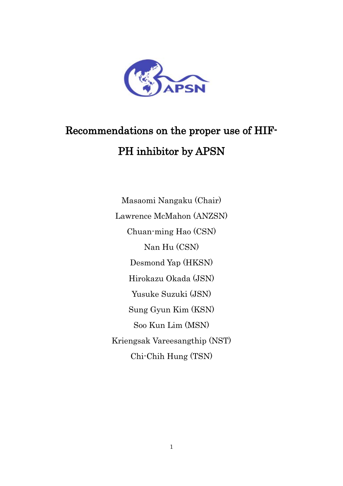

# Recommendations on the proper use of HIF-PH inhibitor by APSN

Masaomi Nangaku (Chair) Lawrence McMahon (ANZSN) Chuan-ming Hao (CSN) Nan Hu (CSN) Desmond Yap (HKSN) Hirokazu Okada (JSN) Yusuke Suzuki (JSN) Sung Gyun Kim (KSN) Soo Kun Lim (MSN) Kriengsak Vareesangthip (NST) Chi-Chih Hung (TSN)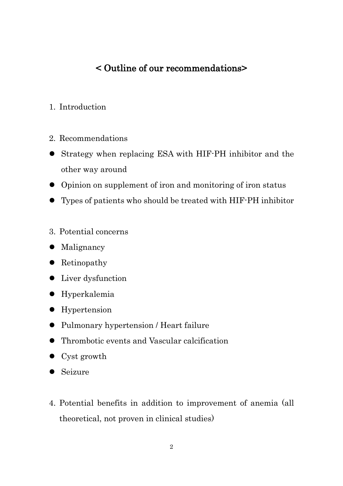## < Outline of our recommendations>

- 1. Introduction
- 2. Recommendations
- Strategy when replacing ESA with HIF-PH inhibitor and the other way around
- Opinion on supplement of iron and monitoring of iron status
- Types of patients who should be treated with HIF-PH inhibitor
- 3. Potential concerns
- Malignancy
- Retinopathy
- Liver dysfunction
- Hyperkalemia
- **•** Hypertension
- Pulmonary hypertension / Heart failure
- Thrombotic events and Vascular calcification
- Cyst growth
- Seizure
- 4. Potential benefits in addition to improvement of anemia (all theoretical, not proven in clinical studies)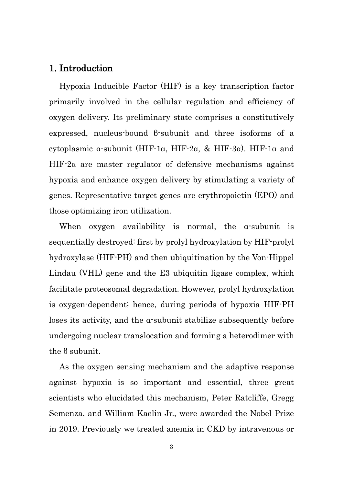#### 1. Introduction

Hypoxia Inducible Factor (HIF) is a key transcription factor primarily involved in the cellular regulation and efficiency of oxygen delivery. Its preliminary state comprises a constitutively expressed, nucleus-bound β-subunit and three isoforms of a cytoplasmic α-subunit (HIF-1α, HIF-2α, & HIF-3α). HIF-1α and HIF-2α are master regulator of defensive mechanisms against hypoxia and enhance oxygen delivery by stimulating a variety of genes. Representative target genes are erythropoietin (EPO) and those optimizing iron utilization.

When oxygen availability is normal, the α-subunit is sequentially destroyed: first by prolyl hydroxylation by HIF-prolyl hydroxylase (HIF-PH) and then ubiquitination by the Von-Hippel Lindau (VHL) gene and the E3 ubiquitin ligase complex, which facilitate proteosomal degradation. However, prolyl hydroxylation is oxygen-dependent; hence, during periods of hypoxia HIF-PH loses its activity, and the α-subunit stabilize subsequently before undergoing nuclear translocation and forming a heterodimer with the β subunit.

As the oxygen sensing mechanism and the adaptive response against hypoxia is so important and essential, three great scientists who elucidated this mechanism, Peter Ratcliffe, Gregg Semenza, and William Kaelin Jr., were awarded the Nobel Prize in 2019. Previously we treated anemia in CKD by intravenous or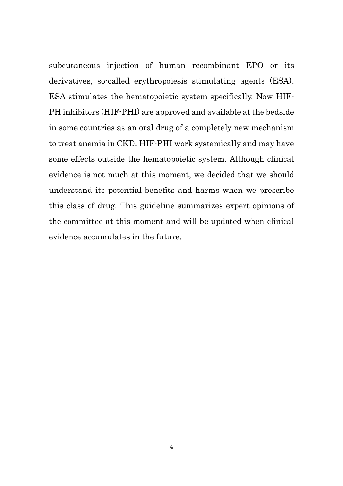subcutaneous injection of human recombinant EPO or its derivatives, so-called erythropoiesis stimulating agents (ESA). ESA stimulates the hematopoietic system specifically. Now HIF-PH inhibitors (HIF-PHI) are approved and available at the bedside in some countries as an oral drug of a completely new mechanism to treat anemia in CKD. HIF-PHI work systemically and may have some effects outside the hematopoietic system. Although clinical evidence is not much at this moment, we decided that we should understand its potential benefits and harms when we prescribe this class of drug. This guideline summarizes expert opinions of the committee at this moment and will be updated when clinical evidence accumulates in the future.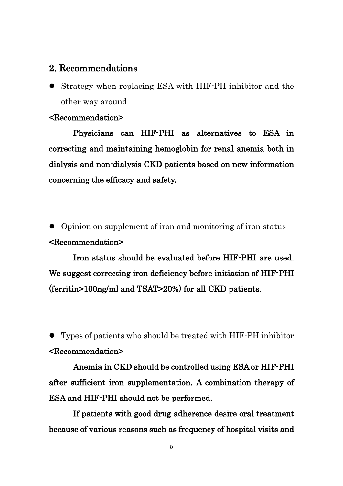### 2. Recommendations

 Strategy when replacing ESA with HIF-PH inhibitor and the other way around

#### <Recommendation>

Physicians can HIF-PHI as alternatives to ESA in correcting and maintaining hemoglobin for renal anemia both in dialysis and non-dialysis CKD patients based on new information concerning the efficacy and safety.

 Opinion on supplement of iron and monitoring of iron status <Recommendation>

Iron status should be evaluated before HIF-PHI are used. We suggest correcting iron deficiency before initiation of HIF-PHI (ferritin>100ng/ml and TSAT>20%) for all CKD patients.

 Types of patients who should be treated with HIF-PH inhibitor <Recommendation>

Anemia in CKD should be controlled using ESA or HIF-PHI after sufficient iron supplementation. A combination therapy of ESA and HIF-PHI should not be performed.

If patients with good drug adherence desire oral treatment because of various reasons such as frequency of hospital visits and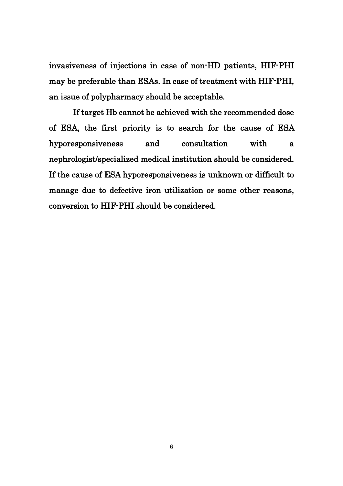invasiveness of injections in case of non-HD patients, HIF-PHI may be preferable than ESAs. In case of treatment with HIF-PHI, an issue of polypharmacy should be acceptable.

If target Hb cannot be achieved with the recommended dose of ESA, the first priority is to search for the cause of ESA hyporesponsiveness and consultation with a nephrologist/specialized medical institution should be considered. If the cause of ESA hyporesponsiveness is unknown or difficult to manage due to defective iron utilization or some other reasons, conversion to HIF-PHI should be considered.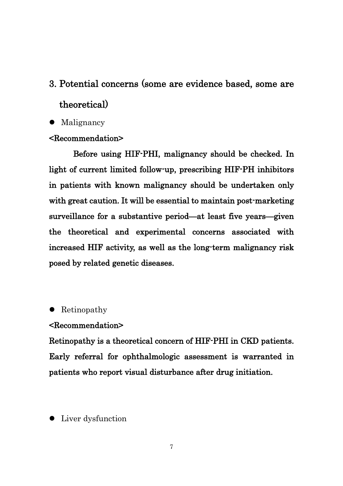## 3. Potential concerns (some are evidence based, some are theoretical)

#### • Malignancy

#### <Recommendation>

Before using HIF-PHI, malignancy should be checked. In light of current limited follow-up, prescribing HIF-PH inhibitors in patients with known malignancy should be undertaken only with great caution. It will be essential to maintain post-marketing surveillance for a substantive period—at least five years—given the theoretical and experimental concerns associated with increased HIF activity, as well as the long-term malignancy risk posed by related genetic diseases.

#### • Retinopathy

#### <Recommendation>

Retinopathy is a theoretical concern of HIF-PHI in CKD patients. Early referral for ophthalmologic assessment is warranted in patients who report visual disturbance after drug initiation.

• Liver dysfunction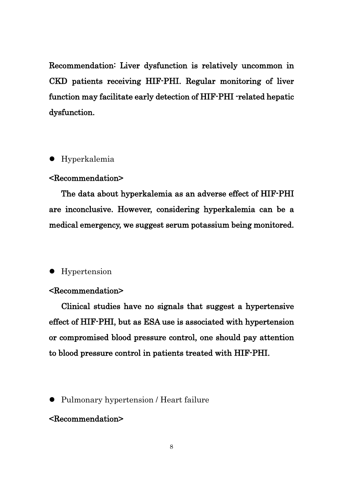Recommendation: Liver dysfunction is relatively uncommon in CKD patients receiving HIF-PHI. Regular monitoring of liver function may facilitate early detection of HIF-PHI -related hepatic dysfunction.

#### Hyperkalemia

#### <Recommendation>

The data about hyperkalemia as an adverse effect of HIF-PHI are inconclusive. However, considering hyperkalemia can be a medical emergency, we suggest serum potassium being monitored.

#### • Hypertension

#### <Recommendation>

Clinical studies have no signals that suggest a hypertensive effect of HIF-PHI, but as ESA use is associated with hypertension or compromised blood pressure control, one should pay attention to blood pressure control in patients treated with HIF-PHI.

• Pulmonary hypertension / Heart failure

#### <Recommendation>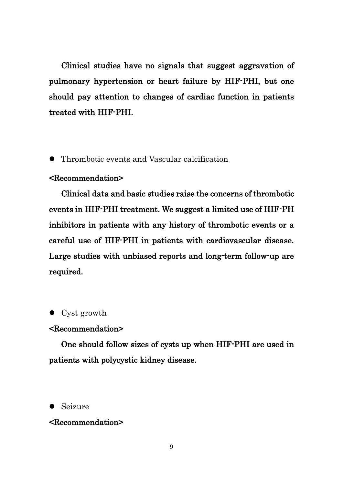Clinical studies have no signals that suggest aggravation of pulmonary hypertension or heart failure by HIF-PHI, but one should pay attention to changes of cardiac function in patients treated with HIF-PHI.

Thrombotic events and Vascular calcification

#### <Recommendation>

Clinical data and basic studies raise the concerns of thrombotic events in HIF-PHI treatment. We suggest a limited use of HIF-PH inhibitors in patients with any history of thrombotic events or a careful use of HIF-PHI in patients with cardiovascular disease. Large studies with unbiased reports and long-term follow-up are required.

• Cyst growth

#### <Recommendation>

One should follow sizes of cysts up when HIF-PHI are used in patients with polycystic kidney disease.

#### • Seizure

#### <Recommendation>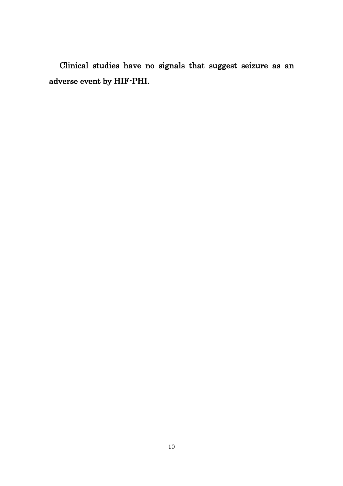Clinical studies have no signals that suggest seizure as an adverse event by HIF-PHI.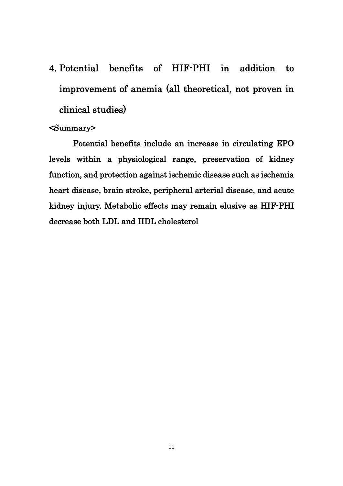4. Potential benefits of HIF-PHI in addition to improvement of anemia (all theoretical, not proven in clinical studies)

#### <Summary>

Potential benefits include an increase in circulating EPO levels within a physiological range, preservation of kidney function, and protection against ischemic disease such as ischemia heart disease, brain stroke, peripheral arterial disease, and acute kidney injury. Metabolic effects may remain elusive as HIF-PHI decrease both LDL and HDL cholesterol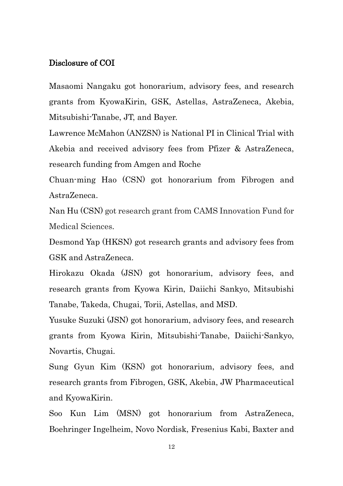#### Disclosure of COI

Masaomi Nangaku got honorarium, advisory fees, and research grants from KyowaKirin, GSK, Astellas, AstraZeneca, Akebia, Mitsubishi-Tanabe, JT, and Bayer.

Lawrence McMahon (ANZSN) is National PI in Clinical Trial with Akebia and received advisory fees from Pfizer & AstraZeneca, research funding from Amgen and Roche

Chuan-ming Hao (CSN) got honorarium from Fibrogen and AstraZeneca.

Nan Hu (CSN) got research grant from CAMS Innovation Fund for Medical Sciences.

Desmond Yap (HKSN) got research grants and advisory fees from GSK and AstraZeneca.

Hirokazu Okada (JSN) got honorarium, advisory fees, and research grants from Kyowa Kirin, Daiichi Sankyo, Mitsubishi Tanabe, Takeda, Chugai, Torii, Astellas, and MSD.

Yusuke Suzuki (JSN) got honorarium, advisory fees, and research grants from Kyowa Kirin, Mitsubishi-Tanabe, Daiichi-Sankyo, Novartis, Chugai.

Sung Gyun Kim (KSN) got honorarium, advisory fees, and research grants from Fibrogen, GSK, Akebia, JW Pharmaceutical and KyowaKirin.

Soo Kun Lim (MSN) got honorarium from AstraZeneca, Boehringer Ingelheim, Novo Nordisk, Fresenius Kabi, Baxter and